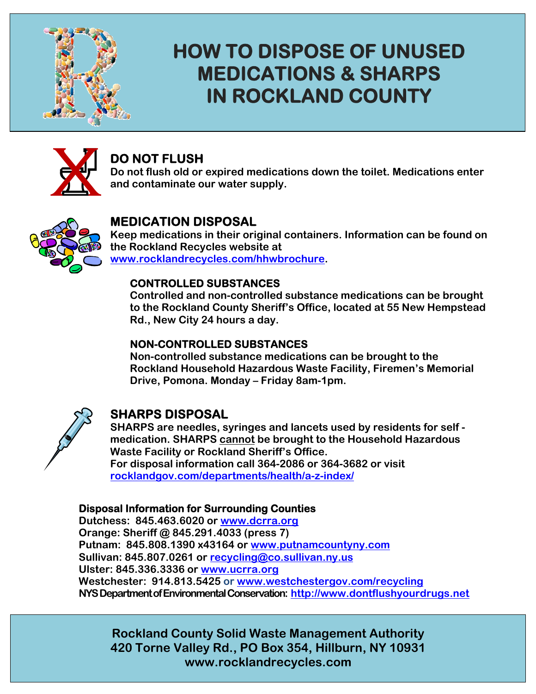

## **HOW TO DISPOSE OF UNUSED MEDICATIONS & SHARPS IN ROCKLAND COUNTY**



## **DO NOT FLUSH**

**Do not flush old or expired medications down the toilet. Medications enter and contaminate our water supply.** 



## **MEDICATION DISPOSAL**

**Keep medications in their original containers. Information can be found on the Rockland Recycles website at www.rocklandrecycles.com/hhwbrochure.** 

#### **CONTROLLED SUBSTANCES**

**Controlled and non-controlled substance medications can be brought to the Rockland County Sheriff's Office, located at 55 New Hempstead Rd., New City 24 hours a day.** 

#### **NON-CONTROLLED SUBSTANCES**

**Non-controlled substance medications can be brought to the Rockland Household Hazardous Waste Facility, Firemen's Memorial Drive, Pomona. Monday – Friday 8am-1pm.** 



### **SHARPS DISPOSAL**

**SHARPS are needles, syringes and lancets used by residents for self medication. SHARPS cannot be brought to the Household Hazardous Waste Facility or Rockland Sheriff's Office. For disposal information call 364-2086 or 364-3682 or visit rocklandgov.com/departments/health/a-z-index/** 

#### **Disposal Information for Surrounding Counties**

**Dutchess: 845.463.6020 or www.dcrra.org Orange: Sheriff @ 845.291.4033 (press 7) Putnam: 845.808.1390 x43164 or www.putnamcountyny.com Sullivan: 845.807.0261 or recycling@co.sullivan.ny.us Ulster: 845.336.3336 or www.ucrra.org Westchester: 914.813.5425 or www.westchestergov.com/recycling NYS Department of Environmental Conservation: http://www.dontflushyourdrugs.net**

**Rockland County Solid Waste Management Authority 420 Torne Valley Rd., PO Box 354, Hillburn, NY 10931 www.rocklandrecycles.com**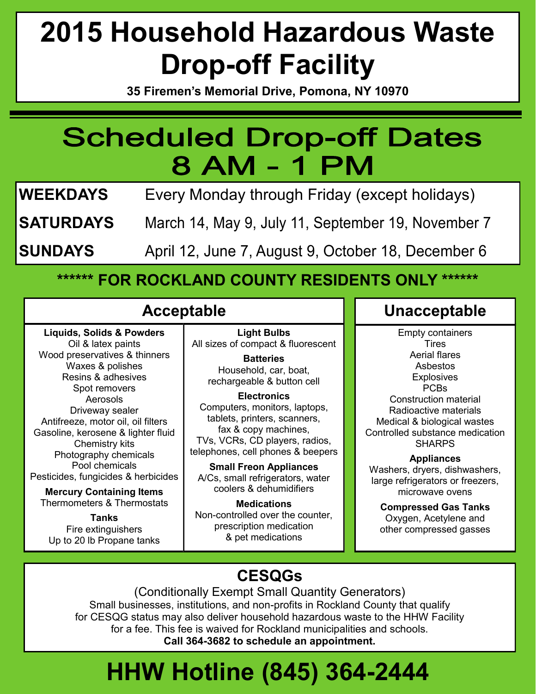# **2015 Household Hazardous Waste Drop-off Facility**

**35 Firemen's Memorial Drive, Pomona, NY 10970**

## **Scheduled Drop-off Dates** 8 AM - 1 PM

**WEEKDAYS** Every Monday through Friday (except holidays)

**SATURDAYS** March 14, May 9, July 11, September 19, November 7

**SUNDAYS** April 12, June 7, August 9, October 18, December 6

## **\*\*\*\*\*\* FOR ROCKLAND COUNTY RESIDENTS ONLY \*\*\*\*\*\***

## **Acceptable**

**Liquids, Solids & Powders** Oil & latex paints Wood preservatives & thinners Waxes & polishes Resins & adhesives Spot removers Aerosols Driveway sealer Antifreeze, motor oil, oil filters Gasoline, kerosene & lighter fluid Chemistry kits Photography chemicals Pool chemicals Pesticides, fungicides & herbicides **Mercury Containing Items**  Thermometers & Thermostats **Tanks** Fire extinguishers Up to 20 lb Propane tanks

**Light Bulbs** All sizes of compact & fluorescent

**Batteries**  Household, car, boat, rechargeable & button cell

#### **Electronics**

Computers, monitors, laptops, tablets, printers, scanners, fax & copy machines, TVs, VCRs, CD players, radios, telephones, cell phones & beepers

**Small Freon Appliances** A/Cs, small refrigerators, water coolers & dehumidifiers

**Medications** Non-controlled over the counter, prescription medication & pet medications

## **Unacceptable**

Empty containers **Tires** Aerial flares Asbestos **Explosives** PCBs Construction material Radioactive materials Medical & biological wastes Controlled substance medication SHARPS

#### **Appliances**

Washers, dryers, dishwashers, large refrigerators or freezers, microwave ovens

**Compressed Gas Tanks** Oxygen, Acetylene and other compressed gasses

## **CESQGs**

(Conditionally Exempt Small Quantity Generators) Small businesses, institutions, and non-profits in Rockland County that qualify for CESQG status may also deliver household hazardous waste to the HHW Facility for a fee. This fee is waived for Rockland municipalities and schools. **Call 364-3682 to schedule an appointment.**

# **HHW Hotline (845) 364-2444**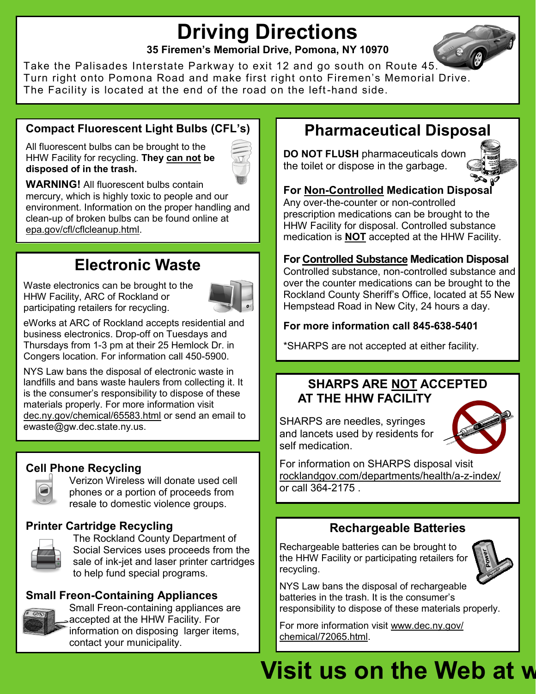## **Driving Directions**

**35 Firemen's Memorial Drive, Pomona, NY 10970**

Take the Palisades Interstate Parkway to exit 12 and go south on Route 45. Turn right onto Pomona Road and make first right onto Firemen's Memorial Drive. The Facility is located at the end of the road on the left-hand side.

### **Compact Fluorescent Light Bulbs (CFL's)**

All fluorescent bulbs can be brought to the HHW Facility for recycling. **They can not be disposed of in the trash.** 

**WARNING!** All fluorescent bulbs contain mercury, which is highly toxic to people and our environment. Information on the proper handling and clean-up of broken bulbs can be found online at epa.gov/cfl/cflcleanup.html.

## **Electronic Waste**

Waste electronics can be brought to the HHW Facility, ARC of Rockland or participating retailers for recycling.



eWorks at ARC of Rockland accepts residential and business electronics. Drop-off on Tuesdays and Thursdays from 1-3 pm at their 25 Hemlock Dr. in Congers location. For information call 450-5900.

NYS Law bans the disposal of electronic waste in landfills and bans waste haulers from collecting it. It is the consumer's responsibility to dispose of these materials properly. For more information visit dec.ny.gov/chemical/65583.html or send an email to ewaste@gw.dec.state.ny.us.

### **Cell Phone Recycling**



Verizon Wireless will donate used cell phones or a portion of proceeds from resale to domestic violence groups.

### **Printer Cartridge Recycling**



The Rockland County Department of Social Services uses proceeds from the sale of ink-jet and laser printer cartridges to help fund special programs.

### **Small Freon-Containing Appliances**



Small Freon-containing appliances are accepted at the HHW Facility. For information on disposing larger items, contact your municipality.

## **Pharmaceutical Disposal**

**DO NOT FLUSH** pharmaceuticals down the toilet or dispose in the garbage.



#### **For Non-Controlled Medication Disposal**

Any over-the-counter or non-controlled prescription medications can be brought to the HHW Facility for disposal. Controlled substance medication is **NOT** accepted at the HHW Facility.

#### **For Controlled Substance Medication Disposal**

Controlled substance, non-controlled substance and over the counter medications can be brought to the Rockland County Sheriff's Office, located at 55 New Hempstead Road in New City, 24 hours a day.

#### **For more information call 845-638-5401**

\*SHARPS are not accepted at either facility.

### **SHARPS ARE NOT ACCEPTED AT THE HHW FACILITY**

SHARPS are needles, syringes and lancets used by residents for self medication.



For information on SHARPS disposal visit rocklandgov.com/departments/health/a-z-index/ or call 364-2175 .

### **Rechargeable Batteries**

Rechargeable batteries can be brought to the HHW Facility or participating retailers for recycling.



NYS Law bans the disposal of rechargeable batteries in the trash. It is the consumer's responsibility to dispose of these materials properly.

For more information visit www.dec.ny.gov/ chemical/72065.html.

# **Visit us on the Web at w**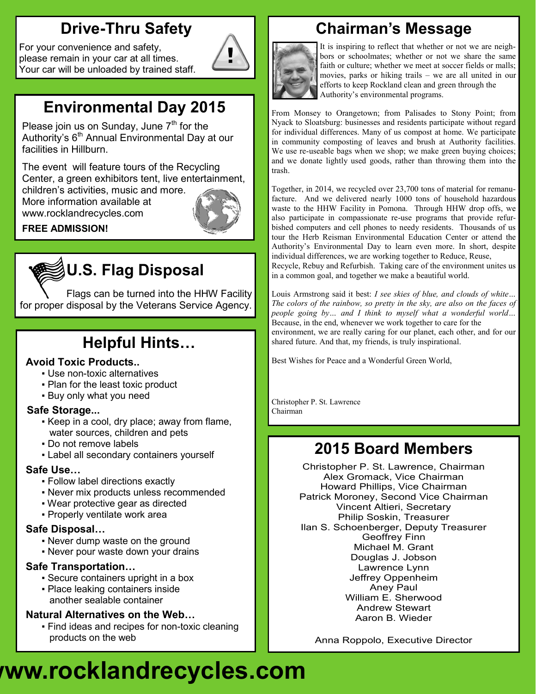## **Drive-Thru Safety**

For your convenience and safety, please remain in your car at all times. Your car will be unloaded by trained staff.



## **Environmental Day 2015**

Please join us on Sunday, June  $7<sup>th</sup>$  for the Authority's 6<sup>th</sup> Annual Environmental Day at our facilities in Hillburn.

The event will feature tours of the Recycling Center, a green exhibitors tent, live entertainment,

children's activities, music and more. More information available at www.rocklandrecycles.com



#### **FREE ADMISSION!**

## **U.S. Flag Disposal**

Flags can be turned into the HHW Facility for proper disposal by the Veterans Service Agency.

## **Helpful Hints…**

#### **Avoid Toxic Products..**

- Use non-toxic alternatives
- Plan for the least toxic product
- Buy only what you need

#### **Safe Storage...**

- Keep in a cool, dry place; away from flame, water sources, children and pets
- Do not remove labels
- Label all secondary containers yourself

#### **Safe Use…**

- Follow label directions exactly
- Never mix products unless recommended
- Wear protective gear as directed
- Properly ventilate work area

#### **Safe Disposal…**

- Never dump waste on the ground
- Never pour waste down your drains

#### **Safe Transportation…**

- Secure containers upright in a box
- Place leaking containers inside another sealable container

### **Natural Alternatives on the Web…**

▪ Find ideas and recipes for non-toxic cleaning products on the web

## **Chairman's Message**



It is inspiring to reflect that whether or not we are neighbors or schoolmates; whether or not we share the same faith or culture; whether we meet at soccer fields or malls; movies, parks or hiking trails – we are all united in our efforts to keep Rockland clean and green through the Authority's environmental programs.

From Monsey to Orangetown; from Palisades to Stony Point; from Nyack to Sloatsburg: businesses and residents participate without regard for individual differences. Many of us compost at home. We participate in community composting of leaves and brush at Authority facilities. We use re-useable bags when we shop; we make green buying choices; and we donate lightly used goods, rather than throwing them into the trash.

Together, in 2014, we recycled over 23,700 tons of material for remanufacture. And we delivered nearly 1000 tons of household hazardous waste to the HHW Facility in Pomona. Through HHW drop offs, we also participate in compassionate re-use programs that provide refurbished computers and cell phones to needy residents. Thousands of us tour the Herb Reisman Environmental Education Center or attend the Authority's Environmental Day to learn even more. In short, despite individual differences, we are working together to Reduce, Reuse, Recycle, Rebuy and Refurbish. Taking care of the environment unites us in a common goal, and together we make a beautiful world.

Louis Armstrong said it best: *I see skies of blue, and clouds of white… The colors of the rainbow, so pretty in the sky, are also on the faces of people going by… and I think to myself what a wonderful world…* Because, in the end, whenever we work together to care for the environment, we are really caring for our planet, each other, and for our shared future. And that, my friends, is truly inspirational.

Best Wishes for Peace and a Wonderful Green World,

Christopher P. St. Lawrence Chairman

## **2015 Board Members**

Christopher P. St. Lawrence, Chairman Alex Gromack, Vice Chairman Howard Phillips, Vice Chairman Patrick Moroney, Second Vice Chairman Vincent Altieri, Secretary Philip Soskin, Treasurer Ilan S. Schoenberger, Deputy Treasurer Geoffrey Finn Michael M. Grant Douglas J. Jobson Lawrence Lynn Jeffrey Oppenheim Aney Paul William E. Sherwood Andrew Stewart Aaron B. Wieder

Anna Roppolo, Executive Director

# **Visit us on the Web at www.rocklandrecycles.com**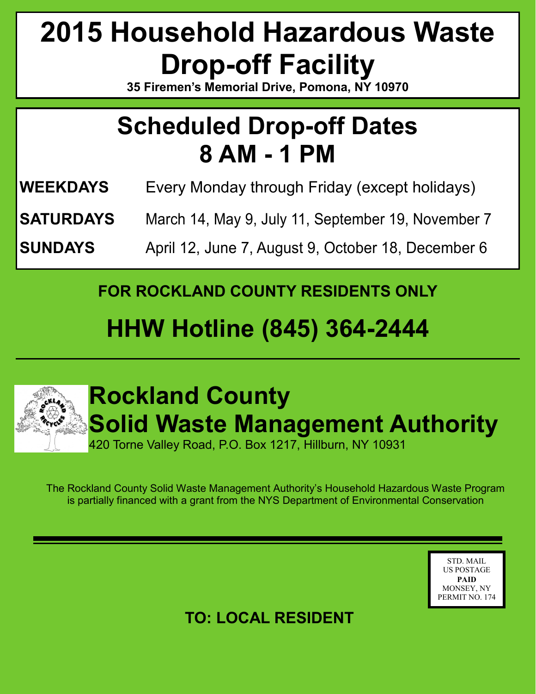# **2015 Household Hazardous Waste Drop-off Facility**

**35 Firemen's Memorial Drive, Pomona, NY 10970**

## **Scheduled Drop-off Dates 8 AM - 1 PM**

- **WEEKDAYS** Every Monday through Friday (except holidays)
- **SATURDAYS** March 14, May 9, July 11, September 19, November 7
- **SUNDAYS** April 12, June 7, August 9, October 18, December 6

**FOR ROCKLAND COUNTY RESIDENTS ONLY**

## **HHW Hotline (845) 364-2444**



# **Rockland County Solid Waste Management Authority**

420 Torne Valley Road, P.O. Box 1217, Hillburn, NY 10931

The Rockland County Solid Waste Management Authority's Household Hazardous Waste Program is partially financed with a grant from the NYS Department of Environmental Conservation

> STD. MAIL US POSTAGE **PAID** MONSEY, NY PERMIT NO. 174

## **TO: LOCAL RESIDENT**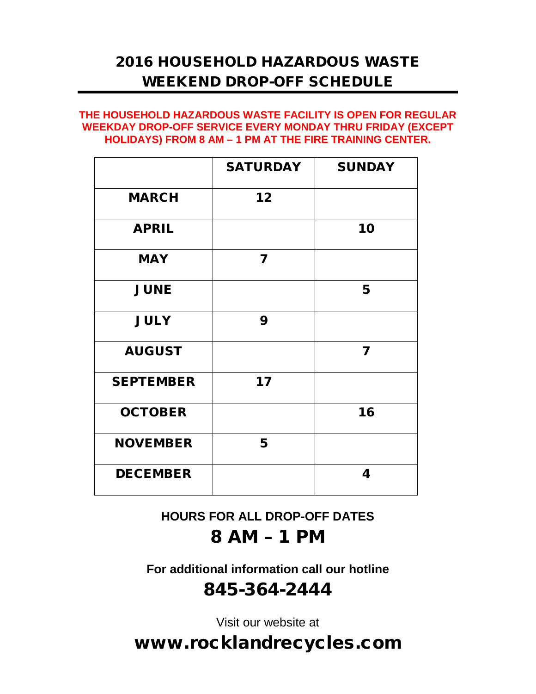## 2016 HOUSEHOLD HAZARDOUS WASTE WEEKEND DROP-OFF SCHEDULE

#### **THE HOUSEHOLD HAZARDOUS WASTE FACILITY IS OPEN FOR REGULAR WEEKDAY DROP-OFF SERVICE EVERY MONDAY THRU FRIDAY (EXCEPT HOLIDAYS) FROM 8 AM – 1 PM AT THE FIRE TRAINING CENTER.**

|                  | <b>SATURDAY</b> | <b>SUNDAY</b> |
|------------------|-----------------|---------------|
| <b>MARCH</b>     | 12              |               |
| <b>APRIL</b>     |                 | 10            |
| <b>MAY</b>       | 7               |               |
| <b>JUNE</b>      |                 | 5             |
| <b>JULY</b>      | 9               |               |
| <b>AUGUST</b>    |                 | 7             |
| <b>SEPTEMBER</b> | 17              |               |
| <b>OCTOBER</b>   |                 | 16            |
| <b>NOVEMBER</b>  | 5               |               |
| <b>DECEMBER</b>  |                 | 4             |

**HOURS FOR ALL DROP-OFF DATES** 8 AM – 1 PM

**For additional information call our hotline** 845-364-2444

Visit our website at

www.rocklandrecycles.com